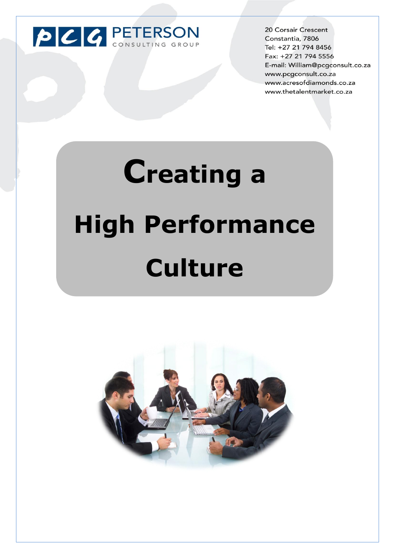

20 Corsair Crescent Constantia, 7806 Tel: +27 21 794 8456 Fax: +27 21 794 5556 E-mail: William@pcgconsult.co.za www.pcgconsult.co.za www.acresofdiamonds.co.za www.thetalentmarket.co.za

# **Creating a High Performance Culture**

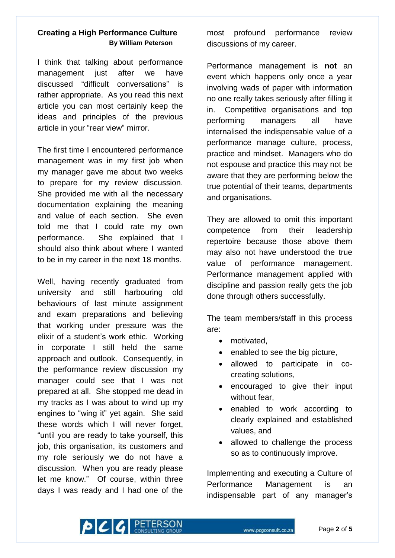## **Creating a High Performance Culture By William Peterson**

I think that talking about performance management just after we have discussed "difficult conversations" is rather appropriate. As you read this next article you can most certainly keep the ideas and principles of the previous article in your "rear view" mirror.

The first time I encountered performance management was in my first job when my manager gave me about two weeks to prepare for my review discussion. She provided me with all the necessary documentation explaining the meaning and value of each section. She even told me that I could rate my own performance. She explained that I should also think about where I wanted to be in my career in the next 18 months.

Well, having recently graduated from university and still harbouring old behaviours of last minute assignment and exam preparations and believing that working under pressure was the elixir of a student's work ethic. Working in corporate I still held the same approach and outlook. Consequently, in the performance review discussion my manager could see that I was not prepared at all. She stopped me dead in my tracks as I was about to wind up my engines to "wing it" yet again. She said these words which I will never forget, "until you are ready to take yourself, this job, this organisation, its customers and my role seriously we do not have a discussion. When you are ready please let me know." Of course, within three days I was ready and I had one of the most profound performance review discussions of my career.

Performance management is **not** an event which happens only once a year involving wads of paper with information no one really takes seriously after filling it in. Competitive organisations and top performing managers all have internalised the indispensable value of a performance manage culture, process, practice and mindset. Managers who do not espouse and practice this may not be aware that they are performing below the true potential of their teams, departments and organisations.

They are allowed to omit this important competence from their leadership repertoire because those above them may also not have understood the true value of performance management. Performance management applied with discipline and passion really gets the job done through others successfully.

The team members/staff in this process are:

- motivated.
- enabled to see the big picture,
- allowed to participate in cocreating solutions,
- encouraged to give their input without fear,
- enabled to work according to clearly explained and established values, and
- allowed to challenge the process so as to continuously improve.

Implementing and executing a Culture of Performance Management is an indispensable part of any manager's

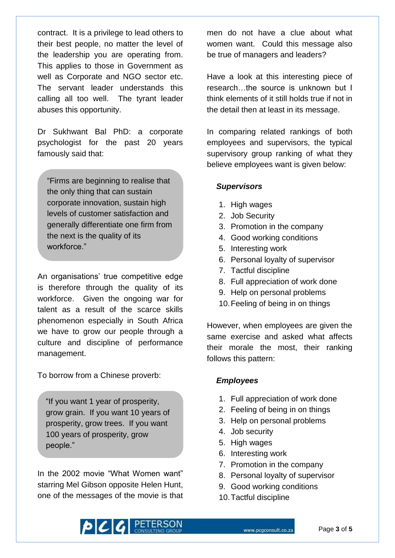contract. It is a privilege to lead others to their best people, no matter the level of the leadership you are operating from. This applies to those in Government as well as Corporate and NGO sector etc. The servant leader understands this calling all too well. The tyrant leader abuses this opportunity.

Dr Sukhwant Bal PhD: a corporate psychologist for the past 20 years famously said that:

"Firms are beginning to realise that the only thing that can sustain corporate innovation, sustain high levels of customer satisfaction and generally differentiate one firm from the next is the quality of its workforce."

An organisations' true competitive edge is therefore through the quality of its workforce. Given the ongoing war for talent as a result of the scarce skills phenomenon especially in South Africa we have to grow our people through a culture and discipline of performance management.

To borrow from a Chinese proverb:

"If you want 1 year of prosperity, grow grain. If you want 10 years of prosperity, grow trees. If you want 100 years of prosperity, grow people."

In the 2002 movie "What Women want" starring Mel Gibson opposite Helen Hunt, one of the messages of the movie is that

men do not have a clue about what women want. Could this message also be true of managers and leaders?

Have a look at this interesting piece of research…the source is unknown but I think elements of it still holds true if not in the detail then at least in its message.

In comparing related rankings of both employees and supervisors, the typical supervisory group ranking of what they believe employees want is given below:

### *Supervisors*

- 1. High wages
- 2. Job Security
- 3. Promotion in the company
- 4. Good working conditions
- 5. Interesting work
- 6. Personal loyalty of supervisor
- 7. Tactful discipline
- 8. Full appreciation of work done
- 9. Help on personal problems
- 10.Feeling of being in on things

However, when employees are given the same exercise and asked what affects their morale the most, their ranking follows this pattern:

## *Employees*

- 1. Full appreciation of work done
- 2. Feeling of being in on things
- 3. Help on personal problems
- 4. Job security
- 5. High wages
- 6. Interesting work
- 7. Promotion in the company
- 8. Personal loyalty of supervisor
- 9. Good working conditions
- 10.Tactful discipline

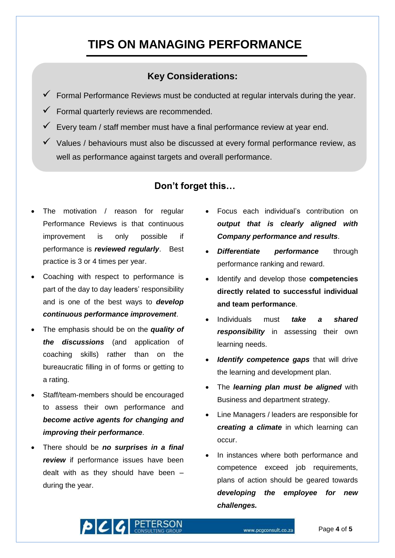# **TIPS ON MANAGING PERFORMANCE**

# **Key Considerations:**

- $\checkmark$  Formal Performance Reviews must be conducted at regular intervals during the year.
- $\checkmark$  Formal quarterly reviews are recommended.
- $\checkmark$  Every team / staff member must have a final performance review at year end.
- $\checkmark$  Values / behaviours must also be discussed at every formal performance review, as well as performance against targets and overall performance.

# **Don't forget this…**

- The motivation / reason for regular Performance Reviews is that continuous improvement is only possible if performance is *reviewed regularly*. Best practice is 3 or 4 times per year.
- Coaching with respect to performance is part of the day to day leaders' responsibility and is one of the best ways to *develop continuous performance improvement*.
- The emphasis should be on the *quality of the discussions* (and application of coaching skills) rather than on the bureaucratic filling in of forms or getting to a rating.
- Staff/team-members should be encouraged to assess their own performance and *become active agents for changing and improving their performance*.
- There should be *no surprises in a final review* if performance issues have been dealt with as they should have been – during the year.
- Focus each individual's contribution on *output that is clearly aligned with Company performance and results*.
- *Differentiate performance* through performance ranking and reward.
- Identify and develop those **competencies directly related to successful individual and team performance**.
- Individuals must *take a shared responsibility* in assessing their own learning needs.
- *Identify competence gaps* that will drive the learning and development plan.
- The *learning plan must be aligned* with Business and department strategy.
- Line Managers / leaders are responsible for *creating a climate* in which learning can occur.
- In instances where both performance and competence exceed job requirements, plans of action should be geared towards *developing the employee for new challenges.*